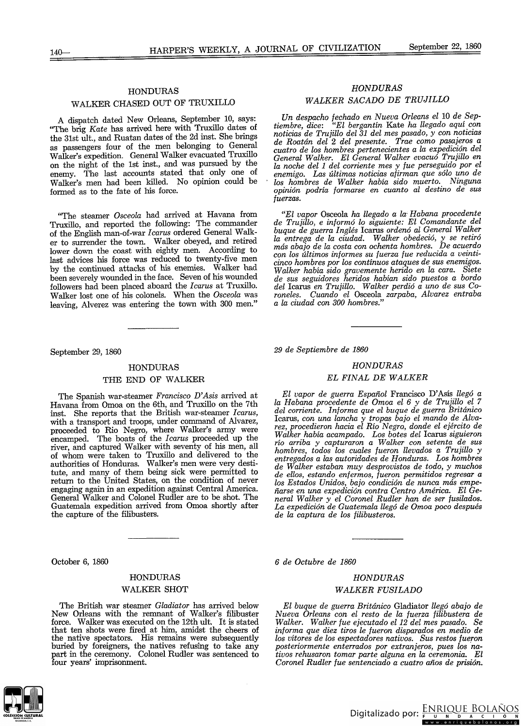# HONDURAS WALKER CHASED OUT OF TRUXILLO

A dispatch dated New Orleans, September 10, says: "The brig Kate has arrived here with Truxillo dates of the 31st ult., and Ruatan dates of the 2d inst. She brings as passengers four of the men belonging to General Walker's expedition. General Walker evacuated Truxillo on the night of the 1st inst., and was pursued by the enemy. The last accounts stated that only one of Walker's men had been killed. No opinion could be formed as to the fate of his force.

"The steamer *Osceola* had arrived at Havana from Truxillo, and reported the following: The commander of the English man-of-war *Icarus* ordered General Walker to surrender the town. WaIker obeyed, and retired lower down the coast with eighty men. According to last advices his force was reduced to twenty-five men by the continued attacks of his enemies. Walker had been severely wounded in the face. Seven of his wounded followers had been placed aboard the *Icarus* at Truxillo. Walker lost one of his colonels. When the *Osceola* was leaving, Alverez was entering the town with 300 men."

September 29, 1860

## HONDURAS

#### THE END OF WALKER

The Spanish war-steamer *Francisco D'Asis* arrived at Havana from Omoa on the 6th, and Truxillo on the 7th inst. She reports that the British war-steamer *Icarus*, with a transport and troops, under command of Alvarez, proceeded to Rio Negro, where Walker's army were encamped. The boats of the *Icarus* proceeded up the river, and captured Walker with seventy of his men, all of whom were taken to Truxillo and delivered to the authorities of Honduras. WaIker's men were very destitute, and many of them being sick were permitted to return to the United States, on the condition of never engaging again in an expedition against Central America. General Walker and Colonel Rudler are to be shot. The Guatemala expedition arrived from Omoa shortly after the capture of the filibusters.

October 6, 1860

# HONDURAS WALKER SHOT

The British war steamer *Gladiator* has arrived below New Orleans with the remnant of Walker's filibuster force. Walker was executed on the 12th ult. It is stated that ten shots were fired at him, amidst the cheers of the native spectators. His remains were subsequently buried by foreigners, the natives refusing to take any part in the ceremony. Colonel Rudler was sentenced to four years' imprisonment.



# *HONDURAS WALKER SACADO DE TRUJlLW*

*Un despacho fechado en Nueva Orleans el 10 de Septiembre, dice: "El bergantín* Kate *ha llegado aquí con noticias de TrujiUo del* 31 *del mes pasado, y con noticias de Roatán del* 2 *del presente. Trae como pasajeros a cuatro de los hombres pertenecientes a la expedición del General Walker. El General Walker evacuó TrujiUo en la noche del* 1 *del corriente mes y fue perseguido por el enemigo. Las últimas noticias afirman que sólo uno de los hombres de Walker habia sido muerto. Ninguna opinión podría formarse en cuanto al destino de sus fuerzas.*

*"El vapor* Osceola *ha llegado a la- Habana procedente de Trujillo, e informó lo siguiente: El Comandante del buque de guerra Inglés* Icarus *ordenó al General Walker la entrega de la ciudad. Walker obedeció,* y *se retiró más abajo de la costa con ochenta hombres. De acuerdo con los últimos informes su fuerza fue reducida a veinticinco hombres por los continuos ataques de sus enemigos. Walher había sido gravemente herido en la cara. Siete de sus seguidores heridos habían sido puestos a bordo dellcarus en Trujillo. Walker perdió a uno de sus Coroneles. Cuando el* Osceola *zarpaba, Alvarez entraba a la ciudad con 300 hombres."*

*29 de Septiembre de 1860*

#### *HONDURAS*

# *EL FINAL DE WALKER*

*El vapor de guerra Español* Francisco *D'Asis llegó a la Habana procedente de Omoa el* 6 *y de Trujillo el 7 del corriente. Informa que el buque de guerra Británico* Icarus, *con una lancha y tropas bajo el mando de Alvarez, procedieron hacia el Río Negro, donde el ejército de Walker había acampado. Los botes del* Icarus *siguieron río arriba y capturaron a Walker con setenta de sus hombres, todos los cuales fueron llevados a Trujillo y entregados a las autoridades de Honduras. Los hombres de Walker estaban muy desprovistos de todo, y muchos de ellos, estando enfermos, fueron permitidos regresar a los Estados Unidos, bajo condición de nunca más empeñarse en una expedición contra Centro América. El General Walker y el Coronel Rudler han de ser fusilados. La expedición de Guatemala llegó de Omoa poco después de la captura de los filibusteros.*

*6 de Octubre de 1860*

# *HONDURAS WALKER FUSILADO*

#### *El buque de guerra Británico* Gladiator *llegó abajo de Nueva Orleans con el resto de la fuerza filibustera de Walher. Walker fue ejecutado el* 12 *del mes pasado. Se informa que diez tiros le fueron disparados en medio de los vítores de los espectadores nativos. Sus restos fueron posteriormente enterrados por extranjeros, pues los -nativos rehusaron tomar parte alguna en* la *ceremonia. El Coronel Rudler fue sentenciado a cuatro años de prisión.*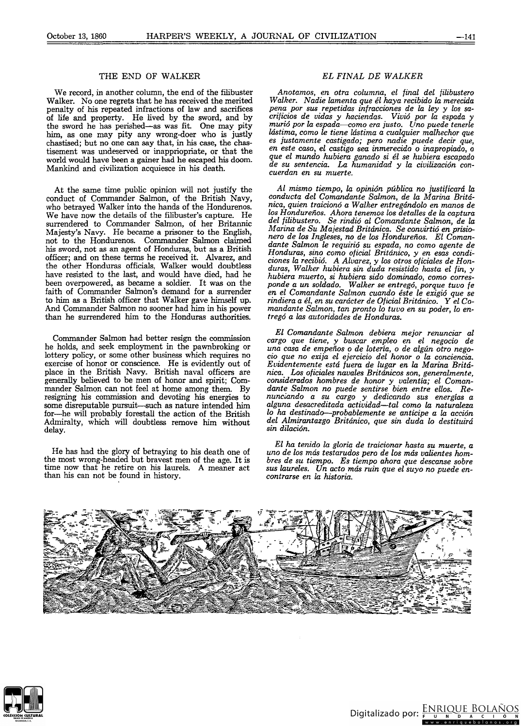## THE END OF WALKER

We record, in another column, the end of the filibuster Walker. No one regrets that he has received the merited penalty of his repeated infractions of law and sacrifices of life and property. He lived by the sword, and by the sword he has perished—as was fit. One may pity<br>him, as one may pity any wrong-doer who is justly chastised; but no one can say that, in his case, the chastisement was undeserved or inappriopriate, or that the world would have been a gainer had he escaped his doom. Mankind and civilization acquiesce in his death.

At the same time public opinion will not justify the conduct of Commander Salmon, of the British Navy, who betraved Walker into the hands of the Hondurenos. We have now the details of the filibuster's capture. He surrendered to Commander Salmon, of her Britannic Majesty's Navy. He became a prisoner to the English, not to the Hondurenos. Commander Salmon claimed his sword, not as an agent of Honduras, but as a British officer; and on these terms he received it. Alvarez, and the other Honduras officials, Walker would doubtless have resisted to the last, and would have died, had he been overpowered, as became a soldier. It was on the faith of Commander Salmon's demand for a surrender to him as a British officer that Walker gave himself up. And Commander Salmon no sooner had him in his power than he surrendered him to the Honduras authorities.

Commander Salmon had better resign the commission he holds, and seek employment in the pawnbroking or lottery policy, or some other business which requires no<br>exercise of honor or conscience. He is evidently out of place in the British Navy. British naval officers are generally believed to be men of honor and spirit; Commander Salmon can not feel at home among them. By resigning his commission and devoting his energies to some disreputable pursuit-such as nature intended him for-he will probably forestall the action of the British Admiralty, which will doubtless remove him without delay.

He has had the glory of betraying to his death one of<br>the most wrong-headed but bravest men of the age. It is time now that he retire on his laurels. A meaner act than his can not be found in history.

### EL FINAL DE WALKER

Anotamos, en otra columna, el final del filibustero<br>Walker. Nadie lamenta que él haya recibido la merecida pena por sus repetidas infracciones de la ley y los sacríficios de vidas y haciendas. Vivió por la espada y<br>murió por la espada—como era justo. Uno puede tenerle lástima, como le tiene lástima a cualquier malhechor que es justamente castigado; pero nadie puede decir que, en este caso, el castigo sea inmerecido o inapropiado, o que el mundo hubiera ganado si él se hubiera escapado de su sentencia. La humanidad y la civilización concuerdan en su muerte.

Al mismo tiempo, la opinión pública no justificará la conducta del Comandante Salmon, de la Marina Británica, quien traicionó a Walker entregándolo en manos de los Hondureños. Ahora tenemos los detalles de la captura del filibustero. Se rindió al Comandante Salmon, de la Marina de Su Majestad Británica. Se convirtió en prisionero de los Ingleses, no de los Hondureños. El Comandante Salmon le requirió su espada, no como agente de Honduras, sino como oficial Británico, y en esas condiciones la recibió. A Alvarez, y los otros oficiales de Honduras, Walker hubiera sin duda resistide hasta el fin, y hubiera muerto, si hubiera sido dominado, como corresponde a un soldado. Walker se entregó, porque tuvo fe en el Comandante Salmon cuando éste le exigió que se rindiera a él, en su carácter de Oficial Británico. Y el Comandante Salmon, tan pronto lo tuvo en su poder, lo entregó a las autoridades de Honduras.

El Comandante Salmon debiera mejor renunciar al cargo que tiene, y buscar empleo en el negocio de una casa de empeños o de lotería, o de algún otro negocio que no exija el ejercicio del honor o la conciencia. Evidentemente está fuera de lugar en la Marina Británica. Los oficiales navales Británicos son, generalmente, considerados hombres de honor y valentía; el Comandante Salmon no puede sentirse bien entre ellos. Renunciando a su cargo y dedicando sus energías a<br>alguna desacreditada actividad—tal como la naturaleza lo ha destinado—probablemente se anticipe a la acción del Almirantazgo Británico, que sin duda lo destituirá sin dilación.

El ha tenido la gloria de traicionar hasta su muerte, a uno de los más testarudos pero de los más valientes hombres de su tiempo. Es tiempo ahora que descanse sobre sus laureles. Un acto más ruin que el suyo no puede encontrarse en la historia.



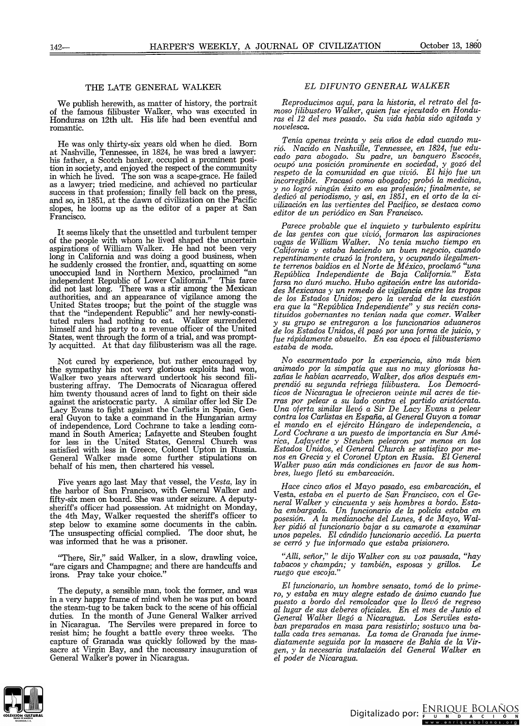### THE LATE GENERAL WALKER

We publish herewith, as matter of history, the portrait of the famous filibuster Walker, who was executed in Honduras on 12th ult. His life had been eventful and romantic.

He was only thirty-six years old when he died. Born at Nashville, Tennessee, in 1824, he was bred a lawyer: his father, a Scotch banker, occupied a prominent position in society, and enjoyed the respect of the cornmunity in which he lived. The son was a scape-grace. He failed as a lawyer; tried medicine, and achieved no particular success in that profession; finally fell back on the press, and so, in 1851, at the dawn of civilization on the Pacific slopes, he looms up as the editor of a paper at San Francisco.

It seems likely that the unsettled and turbulent temper of the people with whom he lived shaped the uncertain aspirations of William Walker. He had not been very long in California and was doing a good business, when he suddenly crossed the frontier, and, squatting on some unoccupied land in Northern Mexico, proclaimed "an independent Republic of Lower California." This farce did not last long. There was a stir among the Mexican authorities, and an appearance of vigilance among the United States troops; but the point of the stuggle was that the "independent Republic" and her newly-constituted rulers had nothing to eat. Walker surrendered himseif and his party to a revenue officer of the United States, went through the form of a trial, and was promptlyacquitted. At that day filibusterism was all the rage.

Not cured by experience, but rather encouraged by the sympathy his not very glorious exploits had won, WaIker two years afterward undertook his second filibustering affray. The Democrats of Nicaragua offered him twenty thousand acres of land to fight on their side against the aristocratic party. A similar ofier led Sir De Lacy Evans to fight against the Carlists in Spain, General Guyon to take a command in the Hungarian army of independence, Lord Cochrane to take a leading command in South America; Lafayette and Steuben fought for less in the United States, General Church was satisfied with less in Greece, Colonel Upton in Russia. General Walker made sorne further stipulations on behalf of bis men, then chartered bis vessel.

Five years ago last May that vessel, the *Vesta,* lay in the harbor of San Francisco, with General Walker and fifty-six men on board. She was under seizure. A deputysheriff's officer had possession. At midnight on Monday, the 4th May, Walker requested the sheriff's officer to step below to examine sorne documents in the cabin. The unsuspecting official complied. The door shut, he was informed that he was a prisoner.

''There, Sir," said Walker, in a slow, drawling voice, "are cigars and Champagne; and there are handcuffs and irons. Pray take your choice."

The deputy, a sensible man, took the former, and was in a very happy frame of mind when he was put on board the steam-tug to be taken back to the scene of his official duties. In the month of June General Walker arrived in Nicaragua. The Serviles were prepared in force to resist him; he fought a battle every three weeks. The capture of Granada was quickly followed by the massacre at Virgin Bay, and the necessary inauguration of General Walker's power in Nicaragua.

### *EL DIFUNTO GENERAL WALKER*

*Reproducimos aquí, para la historia, el retrato del famoso filibustero Walker, quien fue ejecutado en Honduras el* 12 *del mes pasado. Su vida había sido agitada* y *novelesca.*

*Tenía apenas treinta* y *seis años de edad cuando murió. Nacido en Nashville, Tennessee, en* 1824, *fue educado para abogado. Su padre, un banquero Escocés, ocupó una posición prominente en sociedad,* y *gozó del respeto de* la *comunidad en que vivió. El hijo fue un incorregible. Fracasó como abogado; probó* la *medicina,* y *no logró ningún éxito en esa profesión; finalmente, se dedicó al periodismo,* y *así, en* 1851, *en el orto de* la *civilización en las vertientes del Pacífico, se destaca como editor de un periódico en San Francisco.*

*Parece probable que el inquieto* y *turbulento espíritu de las gentes con que vivió, formaron las aspiraciones vagas de William Walker. No tenía mucho tiempo en California* y *estaba haciendo un buen negocio, cuando repentinamente cruzó la frontera,* y *ocupando ilegalmente terrenos baldíos en el Norte de México, proclamó "unp. República Independiente de Baja California." Esta farsa no duró mucho. Hubo agitación entre las autoridades Mexicanas* y *un remedo de vigilancia entre las tropas de los Estados Unidos; pero la verdad de la cuestión era que la "República Independiente"* y *sus recién constituidos gobernantes no tenían nada que comer. Walker* y *su grupo se entregaron a los funcionarios aduaneros de los Estados Unidos, él pasó por una forma de juicio,* y *fue rápidamente absuelto. En esa época el filibusterismo estaba de moda.*

*No escarmentado por la experiencia, sino más bien animado por la simpatía que sus no muy gloriosas hazañas le habían acarreado, Walker, dos años después emprendió su segunda refriega filibustera. Los Democráticos de Nicaragua le ofrecieron veinte mil acres de tierras por pelear a su lado contra el partido aristócrata. Una oferta similar llevó a Sir De Lacy Evans a pelear contra los Carlistas en España, al General Guyon a tomar el mando en el ejército Húngaro de independencia, a Lord Cochrane a un puesto de importancia en Sur América, Lafayette* y *Steuben pelearon por menos en los Estados Unidos, el General Church* se *satisfizo por menos en Grecia* y *el Coronel Upton en Rusia. El General Walker puso aún más condiciones en favor de sus hombres, luego fletó su embarcación.*

*Hace cinco años el Mayo pasado, esa embarcación, el* Vesta, *estaba en el puerto de San Francisco, con el General Walker* y *cincuenta* y *seis hombres a bordo. Estaba embargada. Un funcionario de la policía estaba en posesión. A la medianoche del Lunes,* 4 *de Mayo, Walker pidió al funcionario bajar a su camarote a examinar unos papeles. El cándido funcionario accedió.* La *puerta se cerró* y *fue informado que estaba prisionero.*

*"Allí, señor," le dijo Walker con su voz pausada, "hay tabacos* y *champán;* y *también, esposas* y *grillos. Le ruego que escoja."*

*El funcionario, un hombre sensato, tomó de lo primero,* y *estaba en muy alegre estado de ánimo cuando fue puesto a bordo del remolcador que lo llevó de regreso al lugar de sus deberes oficiales. En el mes de Junio el General Walker llegó a Nicaragua. Los Serviles estaban preparados en masa para resistirlo; sostuvo una batalla cada tres semanas. La toma de Granada fue inmediatamente seguida por la masacre de Bahía de* la *Virgen,* y *la necesaria instalación del General Walker en el poder de Nicaragua.*

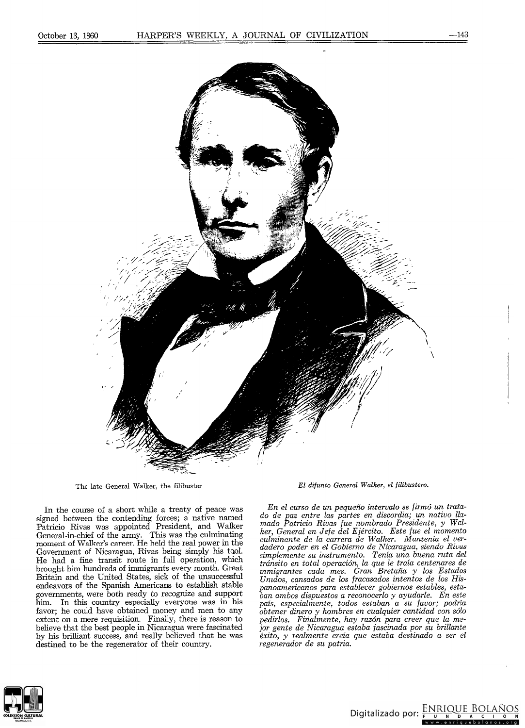

The late General Walker, the filibuster

In the course of a short while a treaty of peace was sígned between the eontendíng forees; a natíve named Patricio Rivas was appointed President, and Walker General-in-ehief of the army. Thís was the eulmínatíng moment of Walker's career. He held the real power in the Government of Nicaragua, Rivas being simply his tool. He had a fine transít route ín full operatíon, whieh brought him hundreds of immigrants every month. Great Britaín and the Uníted States, síek of the unsuceessful endeavors of the Spanish Americans to establish stable governments, were both ready 10 reeogníze and support him. In thís country especíally everyone was in his favor; he eould have obtaíned money and men to any extent on a mere requisítion. Fínally, there ís reason to believe that the best people in Nícaragua were fascinated by his brilliant suceess, and really believed that he was destined to be the regenerator of their country.

*El difunto General Walker, el filibustero.*

*En el curso de un pequeño intervalo se firmó un tratado de paz entre las partes en discordia; un nativo llamado Patricio Rivas fue nombrado Presidente, y Walker, General en Jefe del Ejército. Este fue el momento culminante de la carrera de Walker. Mantenia el verdadero poder en el Gobierno de Nicaragua, siendo Rivas simplemente su instrumento. Ten.ía una buena ruta del tránsito en total operación, la que le traía centenares de znmigrantes cada mes. Gran Bretaña y los Estados Unulos, cansados de los fracasados intentos de los Hispanoamericanos para establecer gobiernos estables, estaban ambos dispuestos a reconocerlo y ayudarle. En este* país, *especialmente, todos estaban a su favor; podría obtener dinero y hombres en cualquier cantidad con sólo pedirlos. Finalmente, hay razón para creer que la mejor gente de Nicaragua estaba fascinada por su brillante éxito, y realmente creía que estaba destinado a ser el regenerador de su patria.*



Digitalizado por:  $\frac{ENRIOUE}{F}$   $\frac{BOLAÑOS}{A+C}$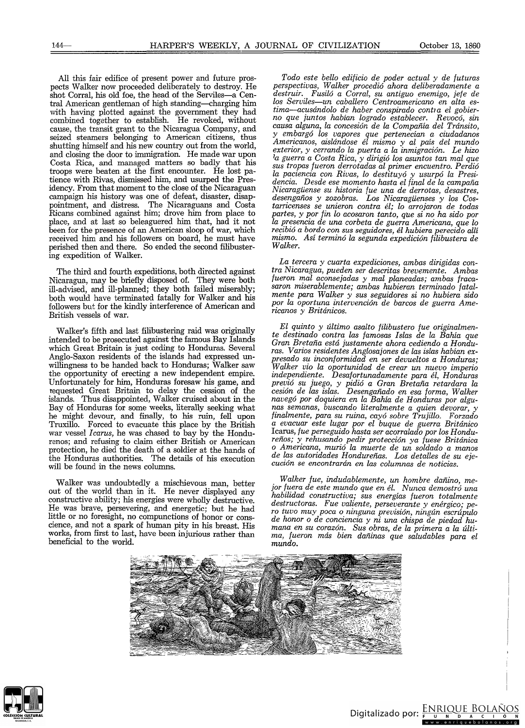All this fair edifice of present power and future prospects WaIker now proceeded deliberately to destroy. He shot Corral, his old foe, the head of the Serviles-a Central American gentleman of high standing-charging him with having plotted against the government they had combined together to establish. He revoked, without cause, the transit grant to the Nicaragua Company, and seized steamers belonging to American citizens, thus shutting himself and his new country out from the world, and closing the door to immigration. He made war upon Costa Rica, and managed matters so badly that his troops were beaten at the first encounter. He lost patience with Rivas, dismissed him, and usurped the Presidency. From that moment to the close of the Nicaraguan campaign his history was one of defeat, disaster, disappointment, and distress. The Nicaraguans and Costa Ricans combined against him; drove him from place to place, and at last so beleaguered him that, had it not been for the presence of an American sloop of war, which received him and his followers on board, he must have perished then and there. So ended the second filibustering expedition of WaIker.

The third and fourth expeditions, both directed against Nicaragua, may be briefly disposed of. They were both ill-advised, and ill-planned; they both failed miserably; both would have terminated fatally for WaIker and his followers but for the kindly interference of American and British vessels of war.

WaIker's fifth and last filibustering raid was originally intended to be prosecuted against the famous Bay Islands which Great Britain is just ceding to Honduras. Several Anglo-Saxon residents of the islands had expressed unwillingness to be handed back to Honduras; Walker saw the opportunity of erecting a new independent empire. Unfortunately for him, Honduras foresaw his game, and requested Great Britain to delay the cession of the islands. Thus disappointed, WaIker cruised about in the Bay of Honduras for some weeks, literally seeking what he might devour, and finally, to his ruin, fell upon Truxillo. Forced to evacuate this place by the British war vessel *I carus,* he was chased to bay by the Hondurenos; and refusing to claim either British or American protection, he died the death of a soldier at the hands of the Honduras authorities. The details of his execution will be found in the news columns.

Walker was undoubtedly a mischievous man, better out of the world than in it. He never displayed any constructive ability; his energies were wholly destructive. He was brave, persevering, and energetic; but he had little or no foresight, no compunctions of honor or conscience, and not a spark of human pity in bis breast. His works, from first to last, have been injurious rather than beneficial to the world.

*Todo este bello edificio de poder actual y de futuras perspectivas, Walker procedió ahora deliberadamente a destruir. Fusiló a Corral, su antiguo enemigo, jefe de los Serviles-un caballero Centroamericano en alta es* $tima$ —acusándolo de haber conspirado contra el gobier*no que juntos habían logrado establecer. Revocó, sin causa alguna, la concesión de la Compañía del Tránsito, y embargó los vapores que pertenecían a ciudadanos Americanos, aislándose él mismo y al país del mundo exterior, y cerrando la puerta a la inmigración. Le hizo 'a guerra a Costa Rica, y dirigió los asuntos tan mal que sus tropas fueron derrotadas al primer encuentro. Perdió la paciencia con Rivas, lo destituyó y usurpó la Presi· dencia. Desde ese momento hasta el final de la campaña Nicaragüense su historia fue una de derrotas, desastres, desengaños y zozobras. Los Nicaragüenses y los Costarricenses se unieron contra él; lo arrojaron de todas partes, y por fin lo acosaron tanto, que si no ha sido por la presencia de una corbeta de guerra Americana, que lo recibió a bordo con sus seguidores, él hubiera perecido allí mismo. Así terminó la segunda expedición filibustera de Walker.*

*La tercera y cuarta expediciones, ambas dirigidas contra Nicaragua, pueden ser descritas brevemente. Ambas fueron mal aconsejadas y mal planeadas; ambas fracasaron miserablemente; ambas hubieran terminado fatalmente para Walker y sus seguidores si no hubiera sido por la oportuna intervención de barcos de guerra Americanos y Británicos.*

*El quinto y último asalto filibustero fue originalmente destinado contra las famosas Islas de la Bahía que Gran Bretaña está justamente ahora cediendo a Honduras. Varios residentes Anglosajones de las islas habían expresado su inconformidad en ser devueltos a Honduras; Walker vio la oportunidad de crear un nuevo imperio independiente. Desafortunadamente para él, Honduras previó su juego, y pidió a Gran Bretaña retardara la cesión de las islas. Desengañado en esa forma, Walker navegó por doquiera en la Bahía de Honduras por algunas semanas, buscando literalmente a quien devorar, y finalmente, para su ruina, cayó sobre Trujillo. Forzado a evacuar este lugar por el buque de guerra Británico*  $Icarus, \textit{fue perseguido hasta ser acorralado por los Honduras.$ *reños; y rehusando pedir protección ya fuese Británica* o *Americana, murió la muerte de un soldado a manos de las autoridades Hondureñas. Los detalles de su ejecución se encontrarán en las columnas de noticias.*

*Walker fue, indudablemente, un hombre dañino, mejor fuera de este mundo que en él. Nunca demostró una habilidad constructiva; sus energías fueron totalmente destructoras. Fue valiente, perseverante y enérgico; pero tuvo muy poca* o *ninguna previsión, ningún escrúpulo de honor* o *de conciencia y ni una chispa de piedad humana en su corazón. Sus obras, de la primera a la última, fueron más bien dañinas que saludables para el mundo.*



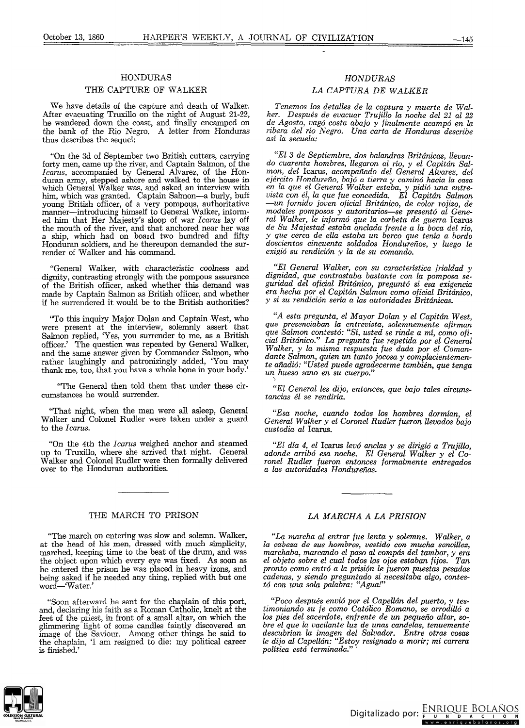#### HONDURAS

#### THE CAPTURE OF WALKER

We have details of the capture and death of Walker. After evacuating Truxillo on the night oí August 21-22, he wandered down the coast, and finally encarnped on the bank of the Rio Negro. A letter from Honduras thus describes the sequel:

"On the 3d oí September two British cutters, carrying forty men, came up the river, and Captain Salmon, of the *Icarus,* accompanied by General Alvarez, oí the Honduran army, stepped ashore and walked to the house in which General Walker was, and asked an interview with him, which was granted. Captain Salmon-a burly, buff young British officer, of a very pompous, authoritative manner-introducing himself to General Walker, informed him that Her Majesty's sloop oí war *Icarus* lay off the mouth of the river, and that anchored near her was a ship, which had on board two hundred and fifty Honduran soldiers, and he thereupon demanded the surrender of Walker and his command.

"General Walker, with characteristic *coolness* and dignity, contrasting strongly with the pompous assurance of the British officer, asked whether this demand was made by Captain Salmon as British officer, and whether if he surrendered it would be to the British authorities?

"To this inquiry Major Dolan and Captain West, who were present at the interview, solemnly assert that Salmon replied, 'Yes, you surrender to me, as a British officer.' The question was repeated by General Walker, and the same answer given by Comrnander Salmon, who rather laughingly and patronizingly added, 'You may thank me, too, that you have a whole bone in your body.'

''The General then told them that under these circurnstances he would surrender.

"That night, when the men were all asleep, General Walker and Colonel Rudler were taken under a guard to the *1carus.*

"On the 4th the *1carus* weighed anchor and stearned up to Truxi110, where she arrived that night. General Walker and Colonel Rudler were then formally delivered over to the Honduran authorities.

## THE MARCH TO PRISON

"The march on entering was slow and solemn. Walker, at the head of his men, dressed with much simplicity, marched, keeping time to the beat oí the drum, and was the object upon which every eye was fixed. As soon as he entered the prison he was placed in heavy irons, and being asked if he needed any thing, replied with but one word-Water.

"Soon afterward he sent for the chaplain of this port, and, declaring his faith as a Roman Catholic, knelt at the feet of the priest, in front of a small altar, on which the glimmering light of some candles faintly discovered an image of the Saviour. Among other things he said to the chaplain, '1 am resigned to die: my political career is finished.'

# *HONDURAS*

# *LA CAPTURA DE WALKER*

*Tenemos los detalles de la captura y muerte de Walker. Después de evacuar Trujillo la noche del* 21 *al 22* d~ *Agosto,* ~agó *costa abajo y finalmente acampó en la Tlbera del TlO Negro. Una carta de Honduras describe así la secuela:*

*"El* 3 *de Septiembre, dos balandras Británicas, llevando cuarenta hombres, llegaron al río, y el Capitán Salman, del* Icarus, *acompañado del General Alvarez del ejército Hondureño, bajó a tierra y caminó hacia la'casa en la que el General Walker estaba, y pidió una entrevista con él, la que fue concedida. El Capitán Salman -un fornido joven oficial Británico, de color rojizo, de modales pomposos y autoritarios-se presentó al General* Walke~, *le informó que la corbeta de guerra* Icarus *de Su Majestad estaba anclada frente a la boca del río, y que cerca de ella estaba un barco que tenía a bordo doscientos cincuenta soldados Hondureños, y luego le exigió su rendición y la de su comando.*

*"El General Walker, con su característica frialdad y dignidad, que contrastaba bastante con la pomposa seguridad del oficial Británico, preguntó si esa exigencia era hecha por el Capitán Salman como oficial Británico, y si su rendición sería a las autoridades Británicas.*

*"A esta pregunta, el Mayor Dolan y el Capitán West, que presenciaban la entrevista, solemnemente afirman que Salman contestó: "Sí, usted se rinde a mí, como oficial Británico." La pregunta fue repetida por el General Walker, y la misma respuesta fue dada por el Comandante Salman, quien un tanto jocosa y complacientemente añadió: "Usted puede agradecerme también, que tenga un hueso sano en su cuerpo."* -,

*"El General les dijo, entonces, que bajo tales circunstancias él se rendiría.*

*"Esa noche, cuando todos los hombres dormían, el General Walker <sup>y</sup> el Coronel Rudler fueron llevados bajo custodia al* Icarus.

*"El día* 4, *el* Icaros *levó anclas* y *se dirigió a Trujillo, adonde arribó esa noche. El General Walker y el Coronel Rudler fueran entonces formalmente entregados*  $a$  *las autoridades Hondureñas.* 

### *LA MARCHA A LA PRISION*

*"La marcha al entrar fue lenta y solemne. Walker, a la* ~abeza *de sus hombres, vestido con mucha sencillez, marchaba, marcando el paso al compás del tambor, y era el objeto sobre el cual todos los ojos estaban fijos. Tan pronto como entró a la prisión le fueron puestas pesadas cadenas, y siendo preguntado si necesitaba algo, contestó con una sola palabra: "Agua!"*

*"Poco después envió por el Capellán del puerto, y testimoniando su fe como Católico Romano, se arrodilló a los pies del sacerdote, enfrente de un pequeño altar, sobre el que la vacilante luz de unas candelas, tenuemente' descubrían la imagen del Salvador. Entre otras cosas le dijo al Capellán: "Estoy resignado a morir; mi carrera política está terminada." .*